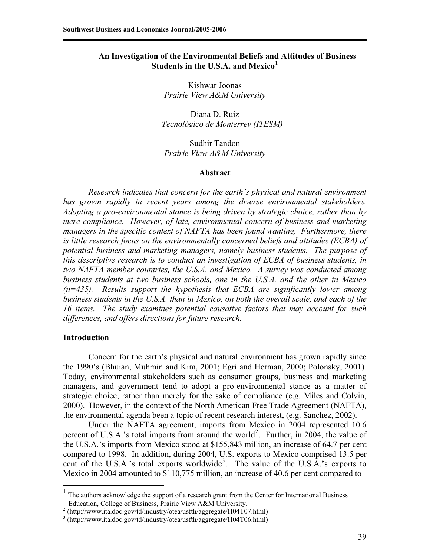# **An Investigation of the Environmental Beliefs and Attitudes of Business Students in the U.S.A. and Mexico<sup>1</sup>**

Kishwar Joonas *Prairie View A&M University* 

Diana D. Ruiz  *Tecnológico de Monterrey (ITESM)* 

Sudhir Tandon *Prairie View A&M University* 

#### **Abstract**

*Research indicates that concern for the earth's physical and natural environment has grown rapidly in recent years among the diverse environmental stakeholders. Adopting a pro-environmental stance is being driven by strategic choice, rather than by mere compliance. However, of late, environmental concern of business and marketing managers in the specific context of NAFTA has been found wanting. Furthermore, there is little research focus on the environmentally concerned beliefs and attitudes (ECBA) of potential business and marketing managers, namely business students. The purpose of this descriptive research is to conduct an investigation of ECBA of business students, in two NAFTA member countries, the U.S.A. and Mexico. A survey was conducted among business students at two business schools, one in the U.S.A. and the other in Mexico (n=435). Results support the hypothesis that ECBA are significantly lower among business students in the U.S.A. than in Mexico, on both the overall scale, and each of the 16 items. The study examines potential causative factors that may account for such differences, and offers directions for future research.* 

### **Introduction**

 $\overline{a}$ 

Concern for the earth's physical and natural environment has grown rapidly since the 1990's (Bhuian, Muhmin and Kim, 2001; Egri and Herman, 2000; Polonsky, 2001). Today, environmental stakeholders such as consumer groups, business and marketing managers, and government tend to adopt a pro-environmental stance as a matter of strategic choice, rather than merely for the sake of compliance (e.g. Miles and Colvin, 2000). However, in the context of the North American Free Trade Agreement (NAFTA), the environmental agenda been a topic of recent research interest, (e.g. Sanchez, 2002).

Under the NAFTA agreement, imports from Mexico in 2004 represented 10.6 percent of U.S.A.'s total imports from around the world<sup>2</sup>. Further, in 2004, the value of the U.S.A.'s imports from Mexico stood at \$155,843 million, an increase of 64.7 per cent compared to 1998. In addition, during 2004, U.S. exports to Mexico comprised 13.5 per cent of the U.S.A.'s total exports worldwide<sup>3</sup>. The value of the U.S.A.'s exports to Mexico in 2004 amounted to \$110,775 million, an increase of 40.6 per cent compared to

<sup>&</sup>lt;sup>1</sup> The authors acknowledge the support of a research grant from the Center for International Business Education, College of Business, Prairie View A&M University.

 $2$  (http://www.ita.doc.gov/td/industry/otea/usfth/aggregate/H04T07.html)

<sup>3</sup> (http://www.ita.doc.gov/td/industry/otea/usfth/aggregate/H04T06.html)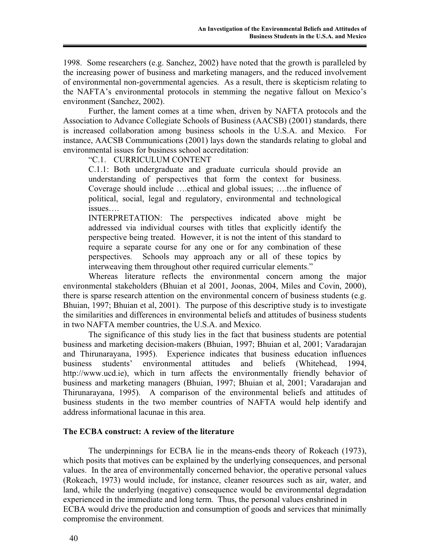1998. Some researchers (e.g. Sanchez, 2002) have noted that the growth is paralleled by the increasing power of business and marketing managers, and the reduced involvement of environmental non-governmental agencies. As a result, there is skepticism relating to the NAFTA's environmental protocols in stemming the negative fallout on Mexico's environment (Sanchez, 2002).

Further, the lament comes at a time when, driven by NAFTA protocols and the Association to Advance Collegiate Schools of Business (AACSB) (2001) standards, there is increased collaboration among business schools in the U.S.A. and Mexico. For instance, AACSB Communications (2001) lays down the standards relating to global and environmental issues for business school accreditation:

"C.1. CURRICULUM CONTENT

C.1.1: Both undergraduate and graduate curricula should provide an understanding of perspectives that form the context for business. Coverage should include ….ethical and global issues; ….the influence of political, social, legal and regulatory, environmental and technological issues….

INTERPRETATION: The perspectives indicated above might be addressed via individual courses with titles that explicitly identify the perspective being treated. However, it is not the intent of this standard to require a separate course for any one or for any combination of these perspectives. Schools may approach any or all of these topics by interweaving them throughout other required curricular elements."

Whereas literature reflects the environmental concern among the major environmental stakeholders (Bhuian et al 2001, Joonas, 2004, Miles and Covin, 2000), there is sparse research attention on the environmental concern of business students (e.g. Bhuian, 1997; Bhuian et al, 2001). The purpose of this descriptive study is to investigate the similarities and differences in environmental beliefs and attitudes of business students in two NAFTA member countries, the U.S.A. and Mexico.

The significance of this study lies in the fact that business students are potential business and marketing decision-makers (Bhuian, 1997; Bhuian et al, 2001; Varadarajan and Thirunarayana, 1995). Experience indicates that business education influences business students' environmental attitudes and beliefs (Whitehead, 1994, http://www.ucd.ie), which in turn affects the environmentally friendly behavior of business and marketing managers (Bhuian, 1997; Bhuian et al, 2001; Varadarajan and Thirunarayana, 1995). A comparison of the environmental beliefs and attitudes of business students in the two member countries of NAFTA would help identify and address informational lacunae in this area.

# **The ECBA construct: A review of the literature**

The underpinnings for ECBA lie in the means-ends theory of Rokeach (1973), which posits that motives can be explained by the underlying consequences, and personal values. In the area of environmentally concerned behavior, the operative personal values (Rokeach, 1973) would include, for instance, cleaner resources such as air, water, and land, while the underlying (negative) consequence would be environmental degradation experienced in the immediate and long term. Thus, the personal values enshrined in ECBA would drive the production and consumption of goods and services that minimally compromise the environment.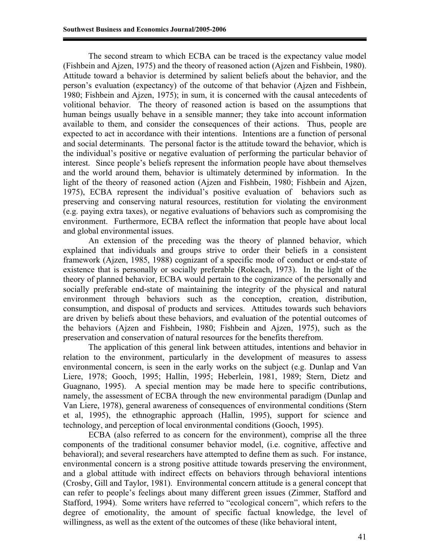The second stream to which ECBA can be traced is the expectancy value model (Fishbein and Ajzen, 1975) and the theory of reasoned action (Ajzen and Fishbein, 1980). Attitude toward a behavior is determined by salient beliefs about the behavior, and the person's evaluation (expectancy) of the outcome of that behavior (Ajzen and Fishbein, 1980; Fishbein and Ajzen, 1975); in sum, it is concerned with the causal antecedents of volitional behavior. The theory of reasoned action is based on the assumptions that human beings usually behave in a sensible manner; they take into account information available to them, and consider the consequences of their actions. Thus, people are expected to act in accordance with their intentions. Intentions are a function of personal and social determinants. The personal factor is the attitude toward the behavior, which is the individual's positive or negative evaluation of performing the particular behavior of interest. Since people's beliefs represent the information people have about themselves and the world around them, behavior is ultimately determined by information. In the light of the theory of reasoned action (Ajzen and Fishbein, 1980; Fishbein and Ajzen, 1975), ECBA represent the individual's positive evaluation of behaviors such as preserving and conserving natural resources, restitution for violating the environment (e.g. paying extra taxes), or negative evaluations of behaviors such as compromising the environment. Furthermore, ECBA reflect the information that people have about local and global environmental issues.

An extension of the preceding was the theory of planned behavior, which explained that individuals and groups strive to order their beliefs in a consistent framework (Ajzen, 1985, 1988) cognizant of a specific mode of conduct or end-state of existence that is personally or socially preferable (Rokeach, 1973). In the light of the theory of planned behavior, ECBA would pertain to the cognizance of the personally and socially preferable end-state of maintaining the integrity of the physical and natural environment through behaviors such as the conception, creation, distribution, consumption, and disposal of products and services. Attitudes towards such behaviors are driven by beliefs about these behaviors, and evaluation of the potential outcomes of the behaviors (Ajzen and Fishbein, 1980; Fishbein and Ajzen, 1975), such as the preservation and conservation of natural resources for the benefits therefrom.

The application of this general link between attitudes, intentions and behavior in relation to the environment, particularly in the development of measures to assess environmental concern, is seen in the early works on the subject (e.g. Dunlap and Van Liere, 1978; Gooch, 1995; Hallin, 1995; Heberlein, 1981, 1989; Stern, Dietz and Guagnano, 1995). A special mention may be made here to specific contributions, namely, the assessment of ECBA through the new environmental paradigm (Dunlap and Van Liere, 1978), general awareness of consequences of environmental conditions (Stern et al, 1995), the ethnographic approach (Hallin, 1995), support for science and technology, and perception of local environmental conditions (Gooch, 1995).

ECBA (also referred to as concern for the environment), comprise all the three components of the traditional consumer behavior model, (i.e. cognitive, affective and behavioral); and several researchers have attempted to define them as such. For instance, environmental concern is a strong positive attitude towards preserving the environment, and a global attitude with indirect effects on behaviors through behavioral intentions (Crosby, Gill and Taylor, 1981). Environmental concern attitude is a general concept that can refer to people's feelings about many different green issues (Zimmer, Stafford and Stafford, 1994). Some writers have referred to "ecological concern", which refers to the degree of emotionality, the amount of specific factual knowledge, the level of willingness, as well as the extent of the outcomes of these (like behavioral intent,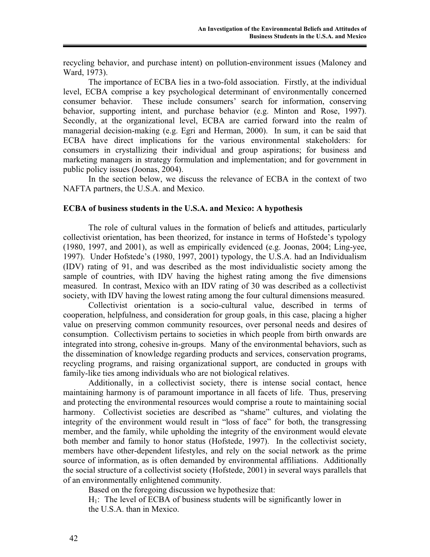recycling behavior, and purchase intent) on pollution-environment issues (Maloney and Ward, 1973).

The importance of ECBA lies in a two-fold association. Firstly, at the individual level, ECBA comprise a key psychological determinant of environmentally concerned consumer behavior. These include consumers' search for information, conserving behavior, supporting intent, and purchase behavior (e.g. Minton and Rose, 1997). Secondly, at the organizational level, ECBA are carried forward into the realm of managerial decision-making (e.g. Egri and Herman, 2000). In sum, it can be said that ECBA have direct implications for the various environmental stakeholders: for consumers in crystallizing their individual and group aspirations; for business and marketing managers in strategy formulation and implementation; and for government in public policy issues (Joonas, 2004).

In the section below, we discuss the relevance of ECBA in the context of two NAFTA partners, the U.S.A. and Mexico.

## **ECBA of business students in the U.S.A. and Mexico: A hypothesis**

 The role of cultural values in the formation of beliefs and attitudes, particularly collectivist orientation, has been theorized, for instance in terms of Hofstede's typology (1980, 1997, and 2001), as well as empirically evidenced (e.g. Joonas, 2004; Ling-yee, 1997). Under Hofstede's (1980, 1997, 2001) typology, the U.S.A. had an Individualism (IDV) rating of 91, and was described as the most individualistic society among the sample of countries, with IDV having the highest rating among the five dimensions measured. In contrast, Mexico with an IDV rating of 30 was described as a collectivist society, with IDV having the lowest rating among the four cultural dimensions measured.

Collectivist orientation is a socio-cultural value, described in terms of cooperation, helpfulness, and consideration for group goals, in this case, placing a higher value on preserving common community resources, over personal needs and desires of consumption. Collectivism pertains to societies in which people from birth onwards are integrated into strong, cohesive in-groups. Many of the environmental behaviors, such as the dissemination of knowledge regarding products and services, conservation programs, recycling programs, and raising organizational support, are conducted in groups with family-like ties among individuals who are not biological relatives.

Additionally, in a collectivist society, there is intense social contact, hence maintaining harmony is of paramount importance in all facets of life. Thus, preserving and protecting the environmental resources would comprise a route to maintaining social harmony. Collectivist societies are described as "shame" cultures, and violating the integrity of the environment would result in "loss of face" for both, the transgressing member, and the family, while upholding the integrity of the environment would elevate both member and family to honor status (Hofstede, 1997). In the collectivist society, members have other-dependent lifestyles, and rely on the social network as the prime source of information, as is often demanded by environmental affiliations. Additionally the social structure of a collectivist society (Hofstede, 2001) in several ways parallels that of an environmentally enlightened community.

Based on the foregoing discussion we hypothesize that:

 $H<sub>1</sub>$ : The level of ECBA of business students will be significantly lower in the U.S.A. than in Mexico.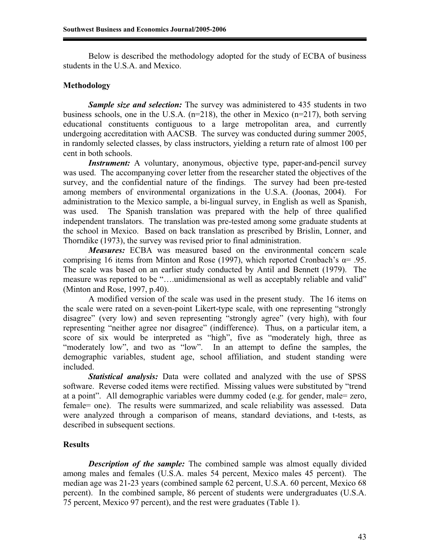Below is described the methodology adopted for the study of ECBA of business students in the U.S.A. and Mexico.

## **Methodology**

**Sample size and selection:** The survey was administered to 435 students in two business schools, one in the U.S.A. (n=218), the other in Mexico (n=217), both serving educational constituents contiguous to a large metropolitan area, and currently undergoing accreditation with AACSB. The survey was conducted during summer 2005, in randomly selected classes, by class instructors, yielding a return rate of almost 100 per cent in both schools.

*Instrument:* A voluntary, anonymous, objective type, paper-and-pencil survey was used. The accompanying cover letter from the researcher stated the objectives of the survey, and the confidential nature of the findings. The survey had been pre-tested among members of environmental organizations in the U.S.A. (Joonas, 2004). For administration to the Mexico sample, a bi-lingual survey, in English as well as Spanish, was used. The Spanish translation was prepared with the help of three qualified independent translators. The translation was pre-tested among some graduate students at the school in Mexico. Based on back translation as prescribed by Brislin, Lonner, and Thorndike (1973), the survey was revised prior to final administration.

*Measures:* ECBA was measured based on the environmental concern scale comprising 16 items from Minton and Rose (1997), which reported Cronbach's  $\alpha$ = .95. The scale was based on an earlier study conducted by Antil and Bennett (1979). The measure was reported to be "….unidimensional as well as acceptably reliable and valid" (Minton and Rose, 1997, p.40).

A modified version of the scale was used in the present study. The 16 items on the scale were rated on a seven-point Likert-type scale, with one representing "strongly disagree" (very low) and seven representing "strongly agree" (very high), with four representing "neither agree nor disagree" (indifference). Thus, on a particular item, a score of six would be interpreted as "high", five as "moderately high, three as "moderately low", and two as "low". In an attempt to define the samples, the demographic variables, student age, school affiliation, and student standing were included.

*Statistical analysis:* Data were collated and analyzed with the use of SPSS software. Reverse coded items were rectified. Missing values were substituted by "trend at a point". All demographic variables were dummy coded (e.g. for gender, male= zero, female= one). The results were summarized, and scale reliability was assessed. Data were analyzed through a comparison of means, standard deviations, and t-tests, as described in subsequent sections.

# **Results**

*Description of the sample:* The combined sample was almost equally divided among males and females (U.S.A. males 54 percent, Mexico males 45 percent). The median age was 21-23 years (combined sample 62 percent, U.S.A. 60 percent, Mexico 68 percent). In the combined sample, 86 percent of students were undergraduates (U.S.A. 75 percent, Mexico 97 percent), and the rest were graduates (Table 1).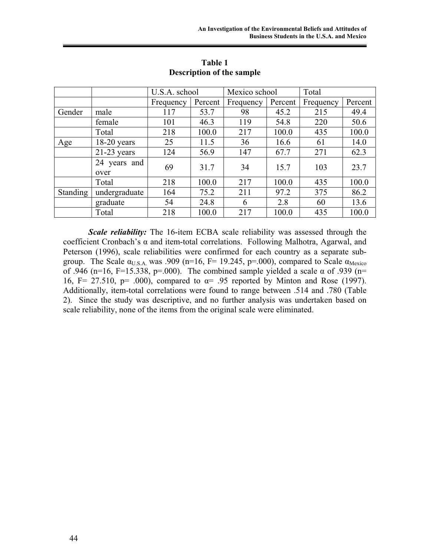|          |                      | U.S.A. school |         | Mexico school |         | Total     |         |
|----------|----------------------|---------------|---------|---------------|---------|-----------|---------|
|          |                      | Frequency     | Percent | Frequency     | Percent | Frequency | Percent |
| Gender   | male                 | 117           | 53.7    | 98            | 45.2    | 215       | 49.4    |
|          | female               | 101           | 46.3    | 119           | 54.8    | 220       | 50.6    |
|          | Total                | 218           | 100.0   | 217           | 100.0   | 435       | 100.0   |
| Age      | $18-20$ years        | 25            | 11.5    | 36            | 16.6    | 61        | 14.0    |
|          | $21-23$ years        | 124           | 56.9    | 147           | 67.7    | 271       | 62.3    |
|          | 24 years and<br>over | 69            | 31.7    | 34            | 15.7    | 103       | 23.7    |
|          | Total                | 218           | 100.0   | 217           | 100.0   | 435       | 100.0   |
| Standing | undergraduate        | 164           | 75.2    | 211           | 97.2    | 375       | 86.2    |
|          | graduate             | 54            | 24.8    | 6             | 2.8     | 60        | 13.6    |
|          | Total                | 218           | 100.0   | 217           | 100.0   | 435       | 100.0   |

**Table 1 Description of the sample** 

*Scale reliability:* The 16-item ECBA scale reliability was assessed through the coefficient Cronbach's  $\alpha$  and item-total correlations. Following Malhotra, Agarwal, and Peterson (1996), scale reliabilities were confirmed for each country as a separate subgroup. The Scale  $\alpha_{U.S.A.}$  was .909 (n=16, F= 19.245, p=.000), compared to Scale  $\alpha_{Mexico}$ of .946 (n=16, F=15.338, p=.000). The combined sample yielded a scale  $\alpha$  of .939 (n= 16, F= 27.510, p= .000), compared to  $\alpha$ = .95 reported by Minton and Rose (1997). Additionally, item-total correlations were found to range between .514 and .780 (Table 2). Since the study was descriptive, and no further analysis was undertaken based on scale reliability, none of the items from the original scale were eliminated.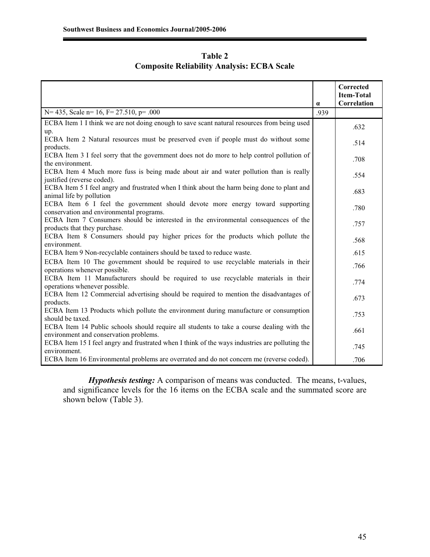| Table 2 |  |                                                   |  |  |  |  |
|---------|--|---------------------------------------------------|--|--|--|--|
|         |  | <b>Composite Reliability Analysis: ECBA Scale</b> |  |  |  |  |

|                                                                                                                                     | $\alpha$ | Corrected<br><b>Item-Total</b><br>Correlation |
|-------------------------------------------------------------------------------------------------------------------------------------|----------|-----------------------------------------------|
| N= 435, Scale n= 16, F= 27.510, p= .000                                                                                             | .939     |                                               |
| ECBA Item 1 I think we are not doing enough to save scant natural resources from being used                                         |          | .632                                          |
| up.<br>ECBA Item 2 Natural resources must be preserved even if people must do without some<br>products.                             |          | .514                                          |
| ECBA Item 3 I feel sorry that the government does not do more to help control pollution of<br>the environment.                      |          | .708                                          |
| ECBA Item 4 Much more fuss is being made about air and water pollution than is really<br>justified (reverse coded).                 |          | .554                                          |
| ECBA Item 5 I feel angry and frustrated when I think about the harm being done to plant and<br>animal life by pollution             |          | .683                                          |
| ECBA Item 6 I feel the government should devote more energy toward supporting<br>conservation and environmental programs.           |          | .780                                          |
| ECBA Item 7 Consumers should be interested in the environmental consequences of the<br>products that they purchase.                 |          | .757                                          |
| ECBA Item 8 Consumers should pay higher prices for the products which pollute the<br>environment.                                   |          | .568                                          |
| ECBA Item 9 Non-recyclable containers should be taxed to reduce waste.                                                              |          | .615                                          |
| ECBA Item 10 The government should be required to use recyclable materials in their<br>operations whenever possible.                |          | .766                                          |
| ECBA Item 11 Manufacturers should be required to use recyclable materials in their<br>operations whenever possible.                 |          | .774                                          |
| ECBA Item 12 Commercial advertising should be required to mention the disadvantages of<br>products.                                 |          | .673                                          |
| ECBA Item 13 Products which pollute the environment during manufacture or consumption<br>should be taxed.                           |          | .753                                          |
| ECBA Item 14 Public schools should require all students to take a course dealing with the<br>environment and conservation problems. |          | .661                                          |
| ECBA Item 15 I feel angry and frustrated when I think of the ways industries are polluting the<br>environment.                      |          | .745                                          |
| ECBA Item 16 Environmental problems are overrated and do not concern me (reverse coded).                                            |          | .706                                          |

*Hypothesis testing:* A comparison of means was conducted. The means, t-values, and significance levels for the 16 items on the ECBA scale and the summated score are shown below (Table 3).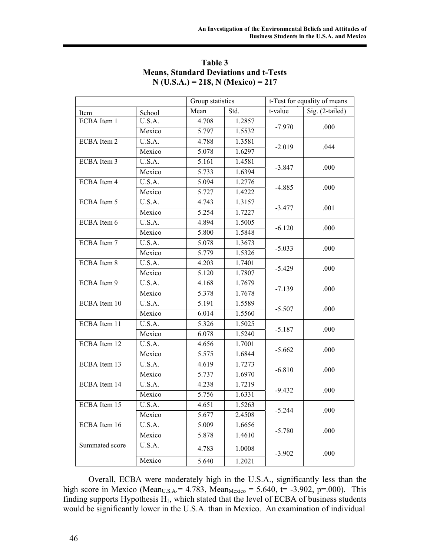|                |        | Group statistics |        | t-Test for equality of means |                 |  |
|----------------|--------|------------------|--------|------------------------------|-----------------|--|
| Item           | School | Mean             | Std.   | t-value                      | Sig. (2-tailed) |  |
| ECBA Item 1    | U.S.A. | 4.708            | 1.2857 |                              | .000            |  |
|                | Mexico | 5.797            | 1.5532 | $-7.970$                     |                 |  |
| ECBA Item 2    | U.S.A. | 4.788            | 1.3581 |                              |                 |  |
|                | Mexico | 5.078            | 1.6297 | $-2.019$                     | .044            |  |
| ECBA Item 3    | U.S.A. | 5.161            | 1.4581 |                              |                 |  |
|                | Mexico | 5.733            | 1.6394 | $-3.847$                     | .000            |  |
| ECBA Item 4    | U.S.A. | 5.094            | 1.2776 |                              |                 |  |
|                | Mexico | 5.727            | 1.4222 | $-4.885$                     | .000            |  |
| ECBA Item 5    | U.S.A. | 4.743            | 1.3157 |                              | .001            |  |
|                | Mexico | 5.254            | 1.7227 | $-3.477$                     |                 |  |
| ECBA Item 6    | U.S.A. | 4.894            | 1.5005 |                              | .000            |  |
|                | Mexico | 5.800            | 1.5848 | $-6.120$                     |                 |  |
| ECBA Item 7    | U.S.A. | 5.078            | 1.3673 |                              | .000            |  |
|                | Mexico | 5.779            | 1.5326 | $-5.033$                     |                 |  |
| ECBA Item 8    | U.S.A. | 4.203            | 1.7401 |                              | .000            |  |
|                | Mexico | 5.120            | 1.7807 | $-5.429$                     |                 |  |
| ECBA Item 9    | U.S.A. | 4.168            | 1.7679 | $-7.139$                     | .000            |  |
|                | Mexico | 5.378            | 1.7678 |                              |                 |  |
| ECBA Item 10   | U.S.A. | 5.191            | 1.5589 | $-5.507$                     |                 |  |
|                | Mexico | 6.014            | 1.5560 |                              | .000            |  |
| ECBA Item 11   | U.S.A. | 5.326            | 1.5025 |                              | .000            |  |
|                | Mexico | 6.078            | 1.5240 | $-5.187$                     |                 |  |
| ECBA Item 12   | U.S.A. | 4.656            | 1.7001 |                              |                 |  |
|                | Mexico | 5.575            | 1.6844 | $-5.662$                     | .000            |  |
| ECBA Item 13   | U.S.A. | 4.619            | 1.7273 | $-6.810$                     | .000            |  |
|                | Mexico | 5.737            | 1.6970 |                              |                 |  |
| ECBA Item 14   | U.S.A. | 4.238            | 1.7219 | $-9.432$                     | .000            |  |
|                | Mexico | 5.756            | 1.6331 |                              |                 |  |
| ECBA Item 15   | U.S.A. | 4.651            | 1.5263 | $-5.244$                     | .000            |  |
|                | Mexico | 5.677            | 2.4508 |                              |                 |  |
| ECBA Item 16   | U.S.A. | 5.009            | 1.6656 | $-5.780$                     | .000            |  |
|                | Mexico | 5.878            | 1.4610 |                              |                 |  |
| Summated score | U.S.A. | 4.783            | 1.0008 | $-3.902$                     | .000            |  |
|                | Mexico | 5.640            | 1.2021 |                              |                 |  |

**Table 3 Means, Standard Deviations and t-Tests N (U.S.A.) = 218, N (Mexico) = 217** 

Overall, ECBA were moderately high in the U.S.A., significantly less than the high score in Mexico (Mean<sub>U.S.A</sub>.= 4.783, Mean<sub>Mexico</sub> = 5.640, t= -3.902, p=.000). This finding supports Hypothesis  $H_1$ , which stated that the level of ECBA of business students would be significantly lower in the U.S.A. than in Mexico. An examination of individual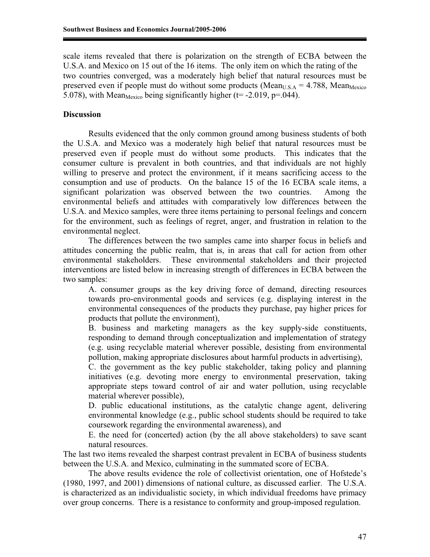scale items revealed that there is polarization on the strength of ECBA between the U.S.A. and Mexico on 15 out of the 16 items. The only item on which the rating of the two countries converged, was a moderately high belief that natural resources must be preserved even if people must do without some products (Mean<sub>U.S.A</sub> = 4.788, Mean<sub>Mexico</sub> 5.078), with Mean<sub>Mexico</sub> being significantly higher (t= -2.019, p=.044).

# **Discussion**

Results evidenced that the only common ground among business students of both the U.S.A. and Mexico was a moderately high belief that natural resources must be preserved even if people must do without some products. This indicates that the consumer culture is prevalent in both countries, and that individuals are not highly willing to preserve and protect the environment, if it means sacrificing access to the consumption and use of products. On the balance 15 of the 16 ECBA scale items, a significant polarization was observed between the two countries. Among the environmental beliefs and attitudes with comparatively low differences between the U.S.A. and Mexico samples, were three items pertaining to personal feelings and concern for the environment, such as feelings of regret, anger, and frustration in relation to the environmental neglect.

 The differences between the two samples came into sharper focus in beliefs and attitudes concerning the public realm, that is, in areas that call for action from other environmental stakeholders. These environmental stakeholders and their projected interventions are listed below in increasing strength of differences in ECBA between the two samples:

A. consumer groups as the key driving force of demand, directing resources towards pro-environmental goods and services (e.g. displaying interest in the environmental consequences of the products they purchase, pay higher prices for products that pollute the environment),

B. business and marketing managers as the key supply-side constituents, responding to demand through conceptualization and implementation of strategy (e.g. using recyclable material wherever possible, desisting from environmental pollution, making appropriate disclosures about harmful products in advertising),

C. the government as the key public stakeholder, taking policy and planning initiatives (e.g. devoting more energy to environmental preservation, taking appropriate steps toward control of air and water pollution, using recyclable material wherever possible),

D. public educational institutions, as the catalytic change agent, delivering environmental knowledge (e.g., public school students should be required to take coursework regarding the environmental awareness), and

E. the need for (concerted) action (by the all above stakeholders) to save scant natural resources.

The last two items revealed the sharpest contrast prevalent in ECBA of business students between the U.S.A. and Mexico, culminating in the summated score of ECBA.

 The above results evidence the role of collectivist orientation, one of Hofstede's (1980, 1997, and 2001) dimensions of national culture, as discussed earlier. The U.S.A. is characterized as an individualistic society, in which individual freedoms have primacy over group concerns. There is a resistance to conformity and group-imposed regulation.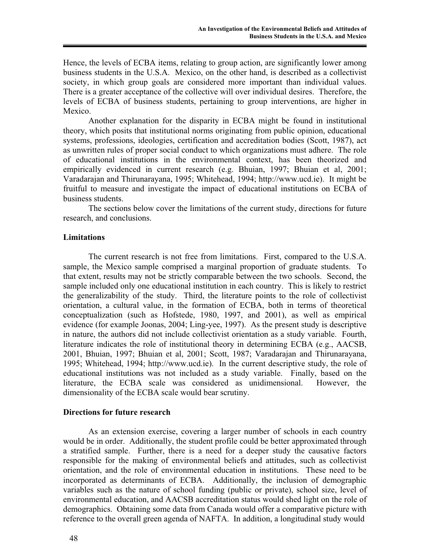Hence, the levels of ECBA items, relating to group action, are significantly lower among business students in the U.S.A. Mexico, on the other hand, is described as a collectivist society, in which group goals are considered more important than individual values. There is a greater acceptance of the collective will over individual desires. Therefore, the levels of ECBA of business students, pertaining to group interventions, are higher in Mexico.

Another explanation for the disparity in ECBA might be found in institutional theory, which posits that institutional norms originating from public opinion, educational systems, professions, ideologies, certification and accreditation bodies (Scott, 1987), act as unwritten rules of proper social conduct to which organizations must adhere. The role of educational institutions in the environmental context, has been theorized and empirically evidenced in current research (e.g. Bhuian, 1997; Bhuian et al, 2001; Varadarajan and Thirunarayana, 1995; Whitehead, 1994; http://www.ucd.ie). It might be fruitful to measure and investigate the impact of educational institutions on ECBA of business students.

The sections below cover the limitations of the current study, directions for future research, and conclusions.

## **Limitations**

 The current research is not free from limitations. First, compared to the U.S.A. sample, the Mexico sample comprised a marginal proportion of graduate students. To that extent, results may not be strictly comparable between the two schools. Second, the sample included only one educational institution in each country. This is likely to restrict the generalizability of the study. Third, the literature points to the role of collectivist orientation, a cultural value, in the formation of ECBA, both in terms of theoretical conceptualization (such as Hofstede, 1980, 1997, and 2001), as well as empirical evidence (for example Joonas, 2004; Ling-yee, 1997). As the present study is descriptive in nature, the authors did not include collectivist orientation as a study variable. Fourth, literature indicates the role of institutional theory in determining ECBA (e.g., AACSB, 2001, Bhuian, 1997; Bhuian et al, 2001; Scott, 1987; Varadarajan and Thirunarayana, 1995; Whitehead, 1994; http://www.ucd.ie). In the current descriptive study, the role of educational institutions was not included as a study variable. Finally, based on the literature, the ECBA scale was considered as unidimensional. However, the dimensionality of the ECBA scale would bear scrutiny.

#### **Directions for future research**

As an extension exercise, covering a larger number of schools in each country would be in order. Additionally, the student profile could be better approximated through a stratified sample. Further, there is a need for a deeper study the causative factors responsible for the making of environmental beliefs and attitudes, such as collectivist orientation, and the role of environmental education in institutions. These need to be incorporated as determinants of ECBA. Additionally, the inclusion of demographic variables such as the nature of school funding (public or private), school size, level of environmental education, and AACSB accreditation status would shed light on the role of demographics. Obtaining some data from Canada would offer a comparative picture with reference to the overall green agenda of NAFTA. In addition, a longitudinal study would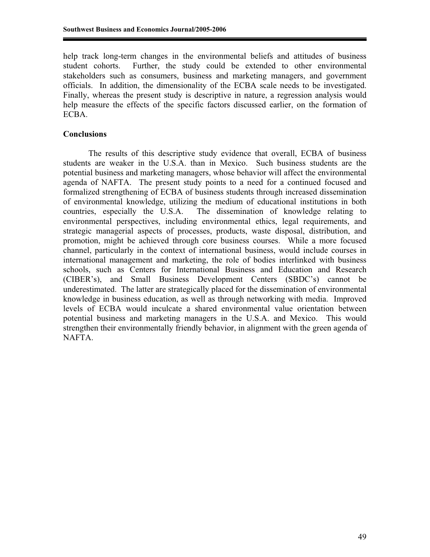help track long-term changes in the environmental beliefs and attitudes of business student cohorts. Further, the study could be extended to other environmental stakeholders such as consumers, business and marketing managers, and government officials. In addition, the dimensionality of the ECBA scale needs to be investigated. Finally, whereas the present study is descriptive in nature, a regression analysis would help measure the effects of the specific factors discussed earlier, on the formation of ECBA.

# **Conclusions**

The results of this descriptive study evidence that overall, ECBA of business students are weaker in the U.S.A. than in Mexico. Such business students are the potential business and marketing managers, whose behavior will affect the environmental agenda of NAFTA. The present study points to a need for a continued focused and formalized strengthening of ECBA of business students through increased dissemination of environmental knowledge, utilizing the medium of educational institutions in both countries, especially the U.S.A. The dissemination of knowledge relating to environmental perspectives, including environmental ethics, legal requirements, and strategic managerial aspects of processes, products, waste disposal, distribution, and promotion, might be achieved through core business courses. While a more focused channel, particularly in the context of international business, would include courses in international management and marketing, the role of bodies interlinked with business schools, such as Centers for International Business and Education and Research (CIBER's), and Small Business Development Centers (SBDC's) cannot be underestimated. The latter are strategically placed for the dissemination of environmental knowledge in business education, as well as through networking with media. Improved levels of ECBA would inculcate a shared environmental value orientation between potential business and marketing managers in the U.S.A. and Mexico. This would strengthen their environmentally friendly behavior, in alignment with the green agenda of NAFTA.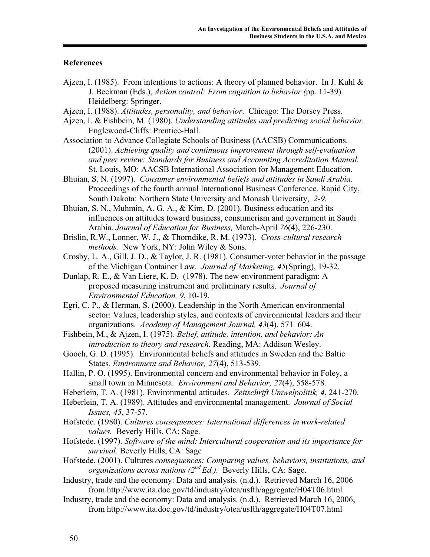## **References**

- Ajzen, I. (1985). From intentions to actions: A theory of planned behavior. In J. Kuhl  $\&$ J. Beckman (Eds.), *Action control: From cognition to behavior (*pp. 11-39). Heidelberg: Springer.
- Ajzen, I. (1988). *Attitudes, personality, and behavior*. Chicago: The Dorsey Press.
- Ajzen, I. & Fishbein, M. (1980). *Understanding attitudes and predicting social behavior.*  Englewood-Cliffs: Prentice-Hall.
- Association to Advance Collegiate Schools of Business (AACSB) Communications. (2001). *Achieving quality and continuous improvement through self-evaluation and peer review: Standards for Business and Accounting Accreditation Manual.* St. Louis, MO: AACSB International Association for Management Education.
- Bhuian, S. N. (1997). *Consumer environmental beliefs and attitudes in Saudi Arabia*. Proceedings of the fourth annual International Business Conference. Rapid City, South Dakota: Northern State University and Monash University, *2-9.*

Bhuian, S. N., Muhmin, A. G. A., & Kim, D. (2001). Business education and its influences on attitudes toward business, consumerism and government in Saudi Arabia. *Journal of Education for Business,* March-April *76*(4), 226-230.

- Brislin, R.W., Lonner, W. J., & Thorndike, R. M. (1973). *Cross-cultural research methods.* New York, NY: John Wiley & Sons.
- Crosby, L. A., Gill, J. D., & Taylor, J. R. (1981). Consumer-voter behavior in the passage of the Michigan Container Law. *Journal of Marketing, 45*(Spring), 19-32.
- Dunlap, R. E., & Van Liere, K. D. (1978). The new environment paradigm: A proposed measuring instrument and preliminary results. *Journal of Environmental Education, 9*, 10-19.
- Egri, C. P., & Herman, S. (2000). Leadership in the North American environmental sector: Values, leadership styles, and contexts of environmental leaders and their organizations. *Academy of Management Journal, 43*(4), 571–604.
- Fishbein, M., & Ajzen, I. (1975). *Belief, attitude, intention, and behavior: An introduction to theory and research.* Reading, MA: Addison Wesley.
- Gooch, G. D. (1995). Environmental beliefs and attitudes in Sweden and the Baltic States. *Environment and Behavior, 27*(4), 513-539.
- Hallin, P. O. (1995). Environmental concern and environmental behavior in Foley, a small town in Minnesota. *Environment and Behavior, 27*(4), 558-578.
- Heberlein, T. A. (1981). Environmental attitudes. *Zeitschrift Umwelpolitik, 4*, 241-270.
- Heberlein, T. A. (1989). Attitudes and environmental management. *Journal of Social*
- *Issues, 45*, 37-57.
- Hofstede. (1980). *Cultures consequences: International differences in work-related values.* Beverly Hills, CA: Sage.
- Hofstede. (1997). *Software of the mind: Intercultural cooperation and its importance for survival.* Beverly Hills, CA: Sage
- Hofstede. (2001). Cultures *consequences: Comparing values, behaviors, institutions, and organizations across nations (2nd Ed.).* Beverly Hills, CA: Sage.
- Industry, trade and the economy: Data and analysis. (n.d.). Retrieved March 16, 2006 from http://www.ita.doc.gov/td/industry/otea/usfth/aggregate/H04T06.html
- Industry, trade and the economy: Data and analysis. (n.d.). Retrieved March 16, 2006, from http://www.ita.doc.gov/td/industry/otea/usfth/aggregate/H04T07.html